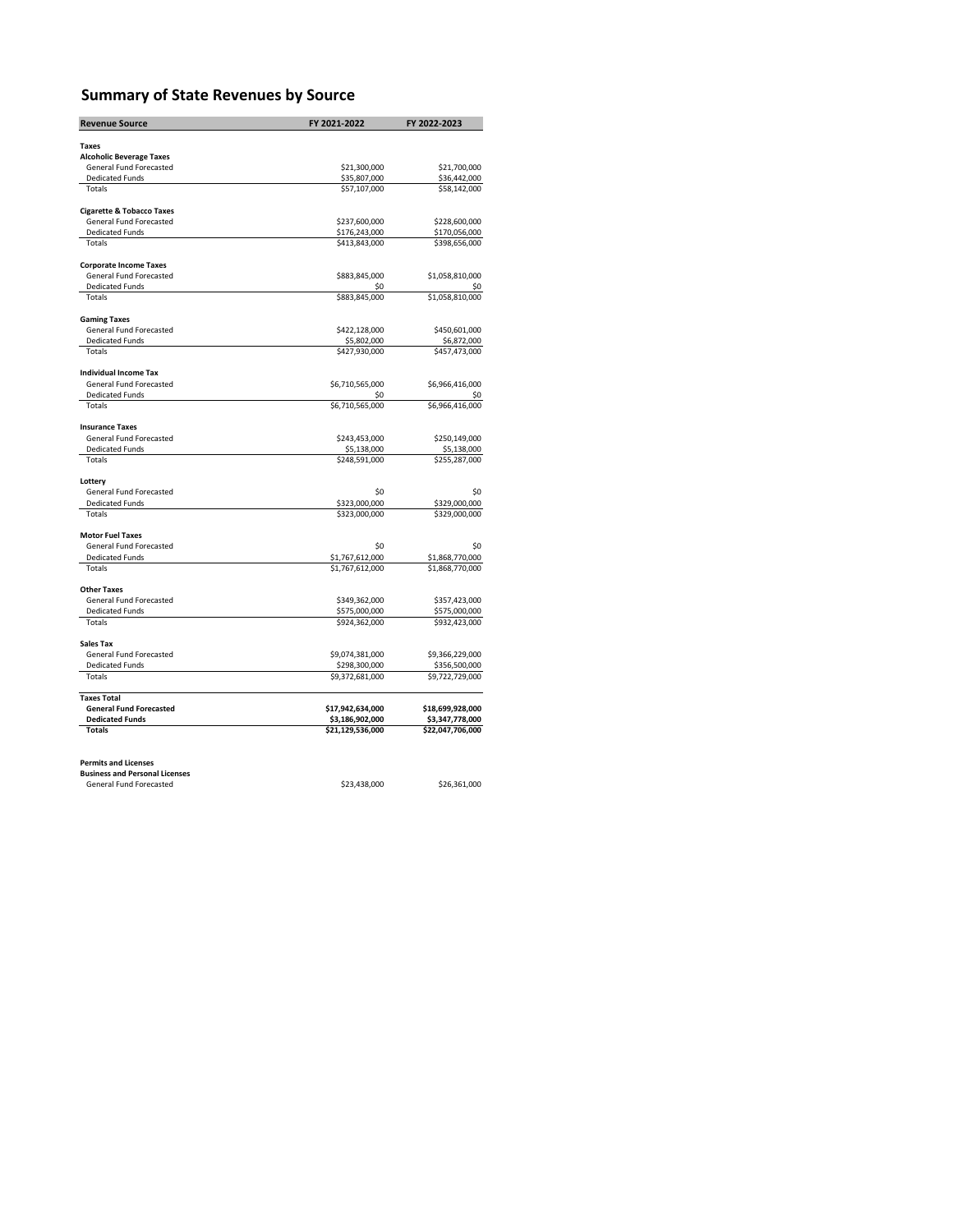## **Summary of State Revenues by Source**

| <b>Revenue Source</b>                             | FY 2021-2022                     | FY 2022-2023                     |
|---------------------------------------------------|----------------------------------|----------------------------------|
|                                                   |                                  |                                  |
| <b>Taxes</b>                                      |                                  |                                  |
| <b>Alcoholic Beverage Taxes</b>                   |                                  |                                  |
| General Fund Forecasted<br><b>Dedicated Funds</b> | \$21,300,000<br>\$35,807,000     | \$21,700,000<br>\$36,442,000     |
| Totals                                            | \$57,107,000                     | \$58,142,000                     |
|                                                   |                                  |                                  |
| <b>Cigarette &amp; Tobacco Taxes</b>              |                                  |                                  |
| General Fund Forecasted                           | \$237,600,000                    | \$228,600,000                    |
| <b>Dedicated Funds</b>                            | \$176,243,000                    | \$170,056,000                    |
| Totals                                            | \$413,843,000                    | \$398,656,000                    |
| <b>Corporate Income Taxes</b>                     |                                  |                                  |
| General Fund Forecasted                           | \$883,845,000                    | \$1,058,810,000                  |
| <b>Dedicated Funds</b>                            | \$0                              | \$0                              |
| Totals                                            | \$883,845,000                    | \$1,058,810,000                  |
| <b>Gaming Taxes</b>                               |                                  |                                  |
| General Fund Forecasted                           | \$422,128,000                    | \$450,601,000                    |
| <b>Dedicated Funds</b>                            | \$5,802,000                      | \$6,872,000                      |
| Totals                                            | \$427,930,000                    | \$457,473,000                    |
| <b>Individual Income Tax</b>                      |                                  |                                  |
| General Fund Forecasted                           | \$6,710,565,000                  | \$6,966,416,000                  |
| <b>Dedicated Funds</b>                            | \$0                              | S0                               |
| <b>Totals</b>                                     | \$6,710,565,000                  | \$6,966,416,000                  |
| <b>Insurance Taxes</b>                            |                                  |                                  |
| General Fund Forecasted                           | \$243,453,000                    | \$250,149,000                    |
| <b>Dedicated Funds</b>                            | \$5,138,000                      | \$5,138,000                      |
| Totals                                            | \$248,591,000                    | \$255,287,000                    |
| Lottery                                           |                                  |                                  |
| General Fund Forecasted                           | \$0                              | \$0                              |
| <b>Dedicated Funds</b>                            | \$323,000,000                    | \$329,000,000                    |
| Totals                                            | \$323,000,000                    | \$329,000,000                    |
| <b>Motor Fuel Taxes</b>                           |                                  |                                  |
| General Fund Forecasted                           | \$0                              | \$0                              |
| <b>Dedicated Funds</b>                            | \$1,767,612,000                  | \$1,868,770,000                  |
| Totals                                            | \$1,767,612,000                  | \$1,868,770,000                  |
|                                                   |                                  |                                  |
| <b>Other Taxes</b>                                |                                  |                                  |
| General Fund Forecasted<br><b>Dedicated Funds</b> | \$349,362,000<br>\$575,000,000   | \$357,423,000<br>\$575,000,000   |
| Totals                                            | \$924,362,000                    | \$932,423,000                    |
|                                                   |                                  |                                  |
| Sales Tax<br>General Fund Forecasted              |                                  |                                  |
| <b>Dedicated Funds</b>                            | \$9,074,381,000                  | \$9,366,229,000                  |
| Totals                                            | \$298,300,000<br>\$9,372,681,000 | \$356,500,000<br>\$9,722,729,000 |
|                                                   |                                  |                                  |
| <b>Taxes Total</b>                                |                                  |                                  |
| <b>General Fund Forecasted</b>                    | \$17,942,634,000                 | \$18,699,928,000                 |
| <b>Dedicated Funds</b>                            | \$3,186,902,000                  | \$3,347,778,000                  |
| <b>Totals</b>                                     | \$21,129,536,000                 | \$22,047,706,000                 |
|                                                   |                                  |                                  |
| <b>Permits and Licenses</b>                       |                                  |                                  |
| <b>Business and Personal Licenses</b>             |                                  |                                  |

| business and Personal Licenses |              |              |
|--------------------------------|--------------|--------------|
| General Fund Forecasted        | \$23,438,000 | \$26,361,000 |